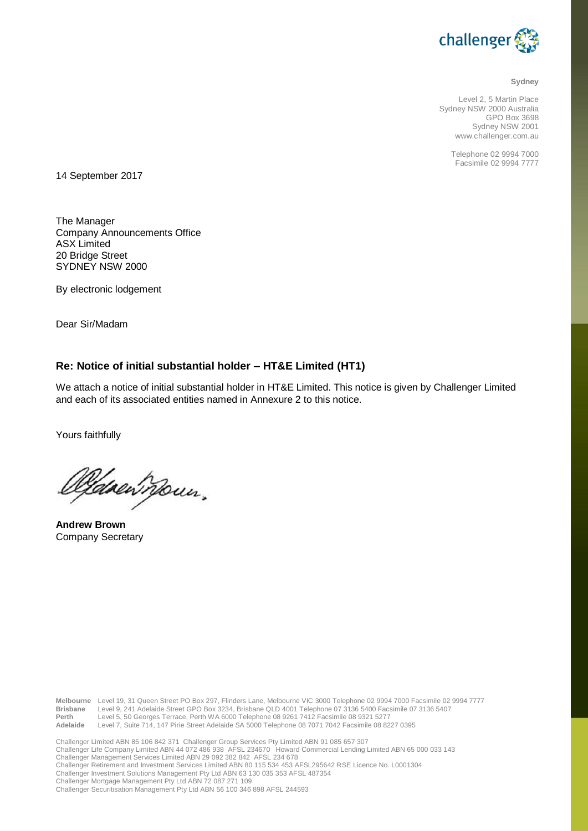

**Sydney**

Level 2, 5 Martin Place Sydney NSW 2000 Australia GPO Box 3698 Sydney NSW 2001 www.challenger.com.au

> Telephone 02 9994 7000 Facsimile 02 9994 7777

14 September 2017

The Manager Company Announcements Office ASX Limited 20 Bridge Street SYDNEY NSW 2000

By electronic lodgement

Dear Sir/Madam

## **Re: Notice of initial substantial holder – HT&E Limited (HT1)**

We attach a notice of initial substantial holder in HT&E Limited. This notice is given by Challenger Limited and each of its associated entities named in Annexure 2 to this notice.

Yours faithfully

<u>Oldrewn</u>oun,

**Andrew Brown** Company Secretary

Melbourne Level 19, 31 Queen Street PO Box 297, Flinders Lane, Melbourne VIC 3000 Telephone 02 9994 7000 Facsimile 02 9994 7777<br>Brisbane Level 9, 241 Adelaide Street GPO Box 3234, Brisbane QLD 4001 Telephone 07 3136 5400 F **Perth** Level 5, 50 Georges Terrace, Perth WA 6000 Telephone 08 9261 7412 Facsimile 08 9321 5277 **Adelaide** Level 7, Suite 714, 147 Pirie Street Adelaide SA 5000 Telephone 08 7071 7042 Facsimile 08 8227 0395 Challenger Limited ABN 85 106 842 371 Challenger Group Services Pty Limited ABN 91 085 657 307 Challenger Life Company Limited ABN 44 072 486 938 AFSL 234670 Howard Commercial Lending Limited ABN 65 000 033 143 Challenger Management Services Limited ABN 29 092 382 842 AFSL 234 678 Challenger Retirement and Investment Services Limited ABN 80 115 534 453 AFSL295642 RSE Licence No. L0001304

Challenger Investment Solutions Management Pty Ltd ABN 63 130 035 353 AFSL 487354

Challenger Mortgage Management Pty Ltd ABN 72 087 271 109

Challenger Securitisation Management Pty Ltd ABN 56 100 346 898 AFSL 244593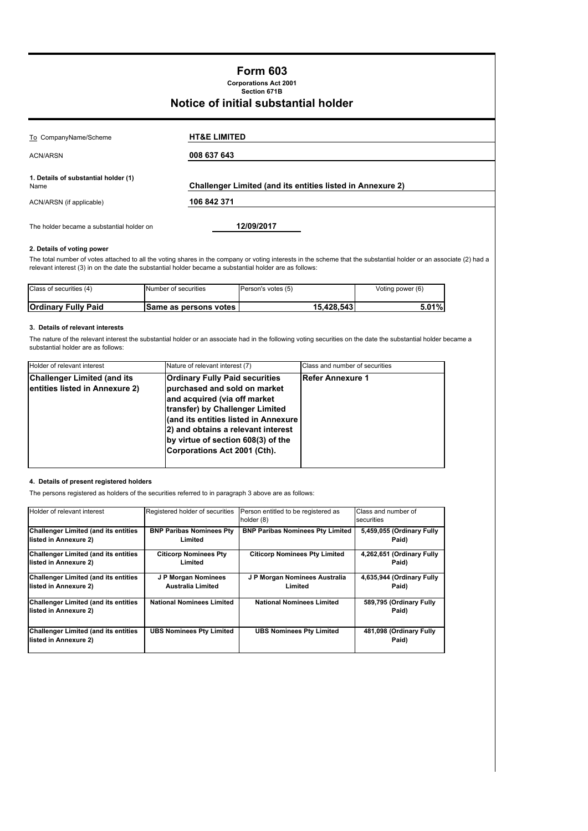## **Form 603**

**Section 671B Corporations Act 2001**

## **Notice of initial substantial holder**

| To CompanyName/Scheme                        | <b>HT&amp;E LIMITED</b>                                           |  |
|----------------------------------------------|-------------------------------------------------------------------|--|
| <b>ACN/ARSN</b>                              | 008 637 643                                                       |  |
| 1. Details of substantial holder (1)<br>Name | <b>Challenger Limited (and its entities listed in Annexure 2)</b> |  |
| ACN/ARSN (if applicable)                     | 106 842 371                                                       |  |
| The holder became a substantial holder on    | 12/09/2017                                                        |  |

### **2. Details of voting power**

The total number of votes attached to all the voting shares in the company or voting interests in the scheme that the substantial holder or an associate (2) had a relevant interest (3) in on the date the substantial holder became a substantial holder are as follows:

| Class of securities (4)    | Number of securities         | Person's votes (5) | Voting power (6) |
|----------------------------|------------------------------|--------------------|------------------|
|                            |                              |                    |                  |
| <b>Ordinary Fully Paid</b> | <b>Same as persons votes</b> | 15.428.543         | $5.01\%$         |

### **3. Details of relevant interests**

The nature of the relevant interest the substantial holder or an associate had in the following voting securities on the date the substantial holder became a substantial holder are as follows:

| Holder of relevant interest                                          | Nature of relevant interest (7)                                                                                                                                                                                                                                                              | Class and number of securities |
|----------------------------------------------------------------------|----------------------------------------------------------------------------------------------------------------------------------------------------------------------------------------------------------------------------------------------------------------------------------------------|--------------------------------|
| <b>Challenger Limited (and its</b><br>entities listed in Annexure 2) | <b>Ordinary Fully Paid securities</b><br>purchased and sold on market<br>and acquired (via off market<br>transfer) by Challenger Limited<br>(and its entities listed in Annexure<br>2) and obtains a relevant interest<br>by virtue of section 608(3) of the<br>Corporations Act 2001 (Cth). | <b>Refer Annexure 1</b>        |

### **4. Details of present registered holders**

The persons registered as holders of the securities referred to in paragraph 3 above are as follows:

| Holder of relevant interest                                           | Registered holder of securities  | Person entitled to be registered as<br>holder (8) | Class and number of<br>securities |
|-----------------------------------------------------------------------|----------------------------------|---------------------------------------------------|-----------------------------------|
| <b>Challenger Limited (and its entities</b>                           | <b>BNP Paribas Nominees Pty</b>  | <b>BNP Paribas Nominees Pty Limited</b>           | 5,459,055 (Ordinary Fully         |
| listed in Annexure 2)                                                 | Limited                          |                                                   | Paid)                             |
| <b>Challenger Limited (and its entities</b>                           | <b>Citicorp Nominees Pty</b>     | <b>Citicorp Nominees Pty Limited</b>              | 4,262,651 (Ordinary Fully         |
| listed in Annexure 2)                                                 | Limited                          |                                                   | Paid)                             |
| <b>Challenger Limited (and its entities</b>                           | J P Morgan Nominees              | J P Morgan Nominees Australia                     | 4,635,944 (Ordinary Fully         |
| listed in Annexure 2)                                                 | <b>Australia Limited</b>         | Limited                                           | Paid)                             |
| <b>Challenger Limited (and its entities)</b><br>listed in Annexure 2) | <b>National Nominees Limited</b> | <b>National Nominees Limited</b>                  | 589,795 (Ordinary Fully<br>Paid)  |
| <b>Challenger Limited (and its entities</b><br>listed in Annexure 2)  | <b>UBS Nominees Pty Limited</b>  | <b>UBS Nominees Pty Limited</b>                   | 481,098 (Ordinary Fully<br>Paid)  |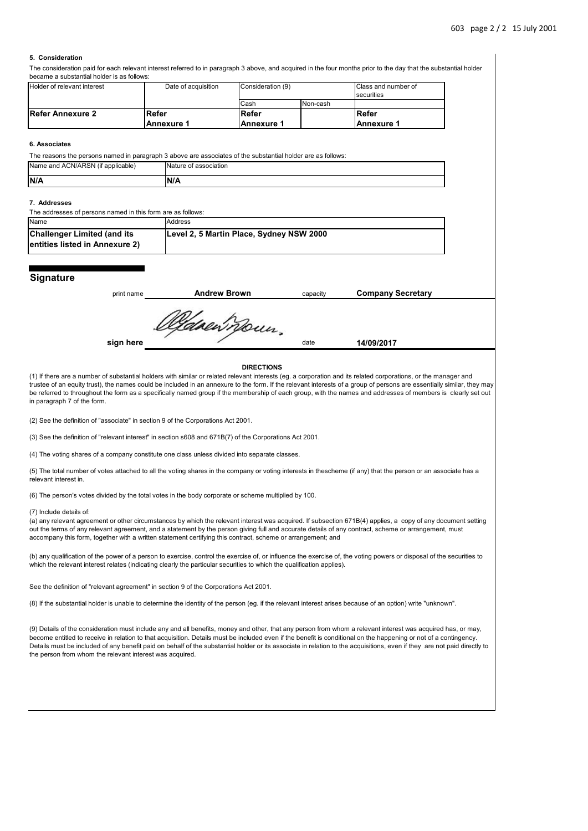### **5. Consideration**

The consideration paid for each relevant interest referred to in paragraph 3 above, and acquired in the four months prior to the day that the substantial holder became a substantial holder is as follows:

| <b>Holder of relevant interest</b> | Date of acquisition | Consideration (9) |          | Class and number of |
|------------------------------------|---------------------|-------------------|----------|---------------------|
|                                    |                     |                   |          | securities          |
|                                    |                     | Cash              | Non-cash |                     |
| Refer Annexure 2                   | lRefer              | Refer             |          | Refer               |
|                                    | <b>Annexure 1</b>   | l Annexure 1      |          | l Annexure 1        |

#### **6. Associates**

The reasons the persons named in paragraph 3 above are associates of the substantial holder are as follows: Name and ACN/ARSN (if applicable) Nature of association

| IN/A | IIA |
|------|-----|
|      |     |

### **7. Addresses**

The addresses of persons named in this form are as follows:

| Name                                                                  | Address                                  |
|-----------------------------------------------------------------------|------------------------------------------|
| <b>Challenger Limited (and its</b><br>lentities listed in Annexure 2) | Level 2, 5 Martin Place, Sydney NSW 2000 |

### **Signature**

| print name | <b>Andrew Brown</b> | capacity | <b>Company Secretary</b> |
|------------|---------------------|----------|--------------------------|
|            |                     |          |                          |
|            | tdoewnoun.          |          |                          |
| sign here  |                     | date     | 14/09/2017               |
|            |                     |          |                          |

#### **DIRECTIONS**

(1) If there are a number of substantial holders with similar or related relevant interests (eg. a corporation and its related corporations, or the manager and trustee of an equity trust), the names could be included in an annexure to the form. If the relevant interests of a group of persons are essentially similar, they may be referred to throughout the form as a specifically named group if the membership of each group, with the names and addresses of members is clearly set out in paragraph 7 of the form.

(2) See the definition of "associate" in section 9 of the Corporations Act 2001.

(3) See the definition of "relevant interest" in section s608 and 671B(7) of the Corporations Act 2001.

(4) The voting shares of a company constitute one class unless divided into separate classes.

(5) The total number of votes attached to all the voting shares in the company or voting interests in thescheme (if any) that the person or an associate has a relevant interest in.

(6) The person's votes divided by the total votes in the body corporate or scheme multiplied by 100.

#### (7) Include details of:

(a) any relevant agreement or other circumstances by which the relevant interest was acquired. If subsection 671B(4) applies, a copy of any document setting out the terms of any relevant agreement, and a statement by the person giving full and accurate details of any contract, scheme or arrangement, must accompany this form, together with a written statement certifying this contract, scheme or arrangement; and

(b) any qualification of the power of a person to exercise, control the exercise of, or influence the exercise of, the voting powers or disposal of the securities to which the relevant interest relates (indicating clearly the particular securities to which the qualification applies).

See the definition of "relevant agreement" in section 9 of the Corporations Act 2001.

(8) If the substantial holder is unable to determine the identity of the person (eg. if the relevant interest arises because of an option) write "unknown".

(9) Details of the consideration must include any and all benefits, money and other, that any person from whom a relevant interest was acquired has, or may, become entitled to receive in relation to that acquisition. Details must be included even if the benefit is conditional on the happening or not of a contingency. Details must be included of any benefit paid on behalf of the substantial holder or its associate in relation to the acquisitions, even if they are not paid directly to the person from whom the relevant interest was acquired.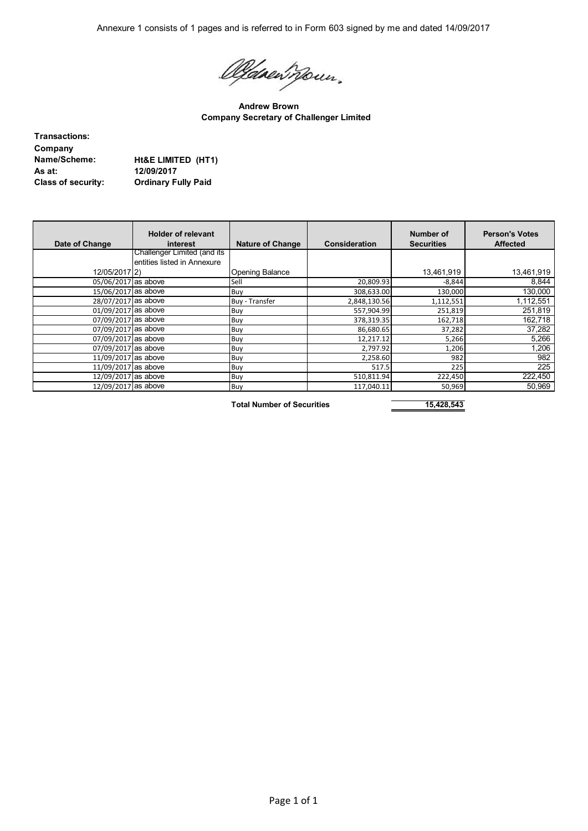Annexure 1 consists of 1 pages and is referred to in Form 603 signed by me and dated 14/09/2017

Oldsen Roun.

**Andrew Brown Company Secretary of Challenger Limited**

**Transactions: Company As at: 12/09/2017**

**Name/Scheme: Ht&E LIMITED (HT1) Class of security: Ordinary Fully Paid**

| Date of Change      | <b>Holder of relevant</b><br>interest | <b>Nature of Change</b> | <b>Consideration</b> | Number of<br><b>Securities</b> | <b>Person's Votes</b><br><b>Affected</b> |
|---------------------|---------------------------------------|-------------------------|----------------------|--------------------------------|------------------------------------------|
|                     | Challenger Limited (and its           |                         |                      |                                |                                          |
|                     | entities listed in Annexure           |                         |                      |                                |                                          |
| 12/05/2017 2)       |                                       | <b>Opening Balance</b>  |                      | 13,461,919                     | 13,461,919                               |
| 05/06/2017 as above |                                       | Sell                    | 20,809.93            | $-8,844$                       | 8,844                                    |
| 15/06/2017 as above |                                       | Buy                     | 308,633.00           | 130,000                        | 130,000                                  |
| 28/07/2017 as above |                                       | <b>Buy</b> - Transfer   | 2,848,130.56         | 1,112,551                      | 1,112,551                                |
| 01/09/2017 as above |                                       | Buy                     | 557,904.99           | 251,819                        | 251,819                                  |
| 07/09/2017 as above |                                       | Buy                     | 378,319.35           | 162,718                        | 162,718                                  |
| 07/09/2017 as above |                                       | Buy                     | 86,680.65            | 37,282                         | 37,282                                   |
| 07/09/2017 as above |                                       | Buy                     | 12,217.12            | 5,266                          | 5,266                                    |
| 07/09/2017 as above |                                       | Buy                     | 2,797.92             | 1,206                          | 1,206                                    |
| 11/09/2017 as above |                                       | Buy                     | 2,258.60             | 982                            | 982                                      |
| 11/09/2017 as above |                                       | Buy                     | 517.5                | 225                            | 225                                      |
| 12/09/2017 as above |                                       | Buy                     | 510,811.94           | 222,450                        | 222,450                                  |
| 12/09/2017 as above |                                       | Buy                     | 117,040.11           | 50,969                         | 50,969                                   |

Total Number of Securities 15,428,543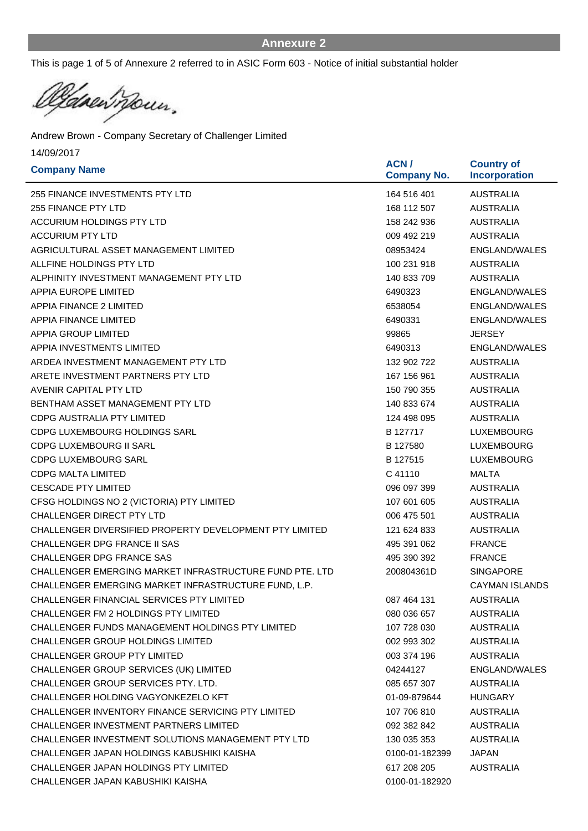This is page 1 of 5 of Annexure 2 referred to in ASIC Form 603 - Notice of initial substantial holder

Canewrown. Ŀ

| <b>Company Name</b>                                     | ACN /<br><b>Company No.</b> | <b>Country of</b><br><b>Incorporation</b> |
|---------------------------------------------------------|-----------------------------|-------------------------------------------|
| 255 FINANCE INVESTMENTS PTY LTD                         | 164 516 401                 | <b>AUSTRALIA</b>                          |
| <b>255 FINANCE PTY LTD</b>                              | 168 112 507                 | <b>AUSTRALIA</b>                          |
| <b>ACCURIUM HOLDINGS PTY LTD</b>                        | 158 242 936                 | <b>AUSTRALIA</b>                          |
| <b>ACCURIUM PTY LTD</b>                                 | 009 492 219                 | <b>AUSTRALIA</b>                          |
| AGRICULTURAL ASSET MANAGEMENT LIMITED                   | 08953424                    | <b>ENGLAND/WALES</b>                      |
| ALLFINE HOLDINGS PTY LTD                                | 100 231 918                 | <b>AUSTRALIA</b>                          |
| ALPHINITY INVESTMENT MANAGEMENT PTY LTD                 | 140 833 709                 | <b>AUSTRALIA</b>                          |
| <b>APPIA EUROPE LIMITED</b>                             | 6490323                     | ENGLAND/WALES                             |
| <b>APPIA FINANCE 2 LIMITED</b>                          | 6538054                     | <b>ENGLAND/WALES</b>                      |
| <b>APPIA FINANCE LIMITED</b>                            | 6490331                     | <b>ENGLAND/WALES</b>                      |
| <b>APPIA GROUP LIMITED</b>                              | 99865                       | <b>JERSEY</b>                             |
| <b>APPIA INVESTMENTS LIMITED</b>                        | 6490313                     | ENGLAND/WALES                             |
| ARDEA INVESTMENT MANAGEMENT PTY LTD                     | 132 902 722                 | <b>AUSTRALIA</b>                          |
| ARETE INVESTMENT PARTNERS PTY LTD                       | 167 156 961                 | <b>AUSTRALIA</b>                          |
| <b>AVENIR CAPITAL PTY LTD</b>                           | 150 790 355                 | <b>AUSTRALIA</b>                          |
| BENTHAM ASSET MANAGEMENT PTY LTD                        | 140 833 674                 | <b>AUSTRALIA</b>                          |
| CDPG AUSTRALIA PTY LIMITED                              | 124 498 095                 | <b>AUSTRALIA</b>                          |
| CDPG LUXEMBOURG HOLDINGS SARL                           | B 127717                    | <b>LUXEMBOURG</b>                         |
| <b>CDPG LUXEMBOURG II SARL</b>                          | B 127580                    | <b>LUXEMBOURG</b>                         |
| <b>CDPG LUXEMBOURG SARL</b>                             | B 127515                    | <b>LUXEMBOURG</b>                         |
| <b>CDPG MALTA LIMITED</b>                               | C 41110                     | <b>MALTA</b>                              |
| <b>CESCADE PTY LIMITED</b>                              | 096 097 399                 | <b>AUSTRALIA</b>                          |
| CFSG HOLDINGS NO 2 (VICTORIA) PTY LIMITED               | 107 601 605                 | <b>AUSTRALIA</b>                          |
| <b>CHALLENGER DIRECT PTY LTD</b>                        | 006 475 501                 | <b>AUSTRALIA</b>                          |
| CHALLENGER DIVERSIFIED PROPERTY DEVELOPMENT PTY LIMITED | 121 624 833                 | <b>AUSTRALIA</b>                          |
| CHALLENGER DPG FRANCE II SAS                            | 495 391 062                 | <b>FRANCE</b>                             |
| CHALLENGER DPG FRANCE SAS                               | 495 390 392                 | <b>FRANCE</b>                             |
| CHALLENGER EMERGING MARKET INFRASTRUCTURE FUND PTE. LTD | 200804361D                  | <b>SINGAPORE</b>                          |
| CHALLENGER EMERGING MARKET INFRASTRUCTURE FUND, L.P.    |                             | <b>CAYMAN ISLANDS</b>                     |
| CHALLENGER FINANCIAL SERVICES PTY LIMITED               | 087 464 131                 | <b>AUSTRALIA</b>                          |
| CHALLENGER FM 2 HOLDINGS PTY LIMITED                    | 080 036 657                 | <b>AUSTRALIA</b>                          |
| CHALLENGER FUNDS MANAGEMENT HOLDINGS PTY LIMITED        | 107 728 030                 | <b>AUSTRALIA</b>                          |
| CHALLENGER GROUP HOLDINGS LIMITED                       | 002 993 302                 | <b>AUSTRALIA</b>                          |
| <b>CHALLENGER GROUP PTY LIMITED</b>                     | 003 374 196                 | <b>AUSTRALIA</b>                          |
| CHALLENGER GROUP SERVICES (UK) LIMITED                  | 04244127                    | ENGLAND/WALES                             |
| CHALLENGER GROUP SERVICES PTY. LTD.                     | 085 657 307                 | AUSTRALIA                                 |
| CHALLENGER HOLDING VAGYONKEZELO KFT                     | 01-09-879644                | <b>HUNGARY</b>                            |
| CHALLENGER INVENTORY FINANCE SERVICING PTY LIMITED      | 107 706 810                 | <b>AUSTRALIA</b>                          |
| <b>CHALLENGER INVESTMENT PARTNERS LIMITED</b>           | 092 382 842                 | <b>AUSTRALIA</b>                          |
| CHALLENGER INVESTMENT SOLUTIONS MANAGEMENT PTY LTD      | 130 035 353                 | <b>AUSTRALIA</b>                          |
| CHALLENGER JAPAN HOLDINGS KABUSHIKI KAISHA              | 0100-01-182399              | <b>JAPAN</b>                              |
| CHALLENGER JAPAN HOLDINGS PTY LIMITED                   | 617 208 205                 | <b>AUSTRALIA</b>                          |
| CHALLENGER JAPAN KABUSHIKI KAISHA                       | 0100-01-182920              |                                           |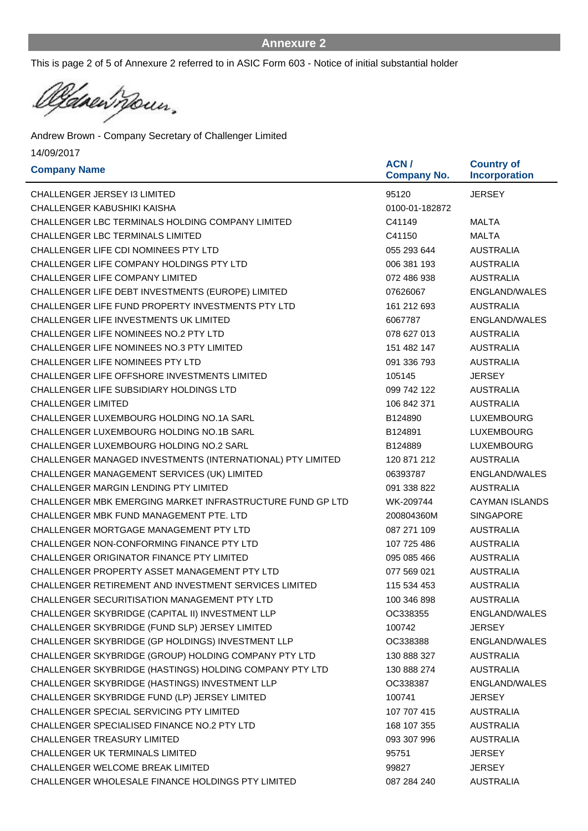This is page 2 of 5 of Annexure 2 referred to in ASIC Form 603 - Notice of initial substantial holder

Casen noun. Ŀ

| <b>Company Name</b>                                        | ACN /<br><b>Company No.</b> | <b>Country of</b><br><b>Incorporation</b> |
|------------------------------------------------------------|-----------------------------|-------------------------------------------|
| <b>CHALLENGER JERSEY I3 LIMITED</b>                        | 95120                       | JERSEY                                    |
| CHALLENGER KABUSHIKI KAISHA                                | 0100-01-182872              |                                           |
| CHALLENGER LBC TERMINALS HOLDING COMPANY LIMITED           | C41149                      | <b>MALTA</b>                              |
| <b>CHALLENGER LBC TERMINALS LIMITED</b>                    | C41150                      | <b>MALTA</b>                              |
| CHALLENGER LIFE CDI NOMINEES PTY LTD                       | 055 293 644                 | <b>AUSTRALIA</b>                          |
| CHALLENGER LIFE COMPANY HOLDINGS PTY LTD                   | 006 381 193                 | <b>AUSTRALIA</b>                          |
| CHALLENGER LIFE COMPANY LIMITED                            | 072 486 938                 | <b>AUSTRALIA</b>                          |
| CHALLENGER LIFE DEBT INVESTMENTS (EUROPE) LIMITED          | 07626067                    | ENGLAND/WALES                             |
| CHALLENGER LIFE FUND PROPERTY INVESTMENTS PTY LTD          | 161 212 693                 | <b>AUSTRALIA</b>                          |
| CHALLENGER LIFE INVESTMENTS UK LIMITED                     | 6067787                     | ENGLAND/WALES                             |
| <b>CHALLENGER LIFE NOMINEES NO.2 PTY LTD</b>               | 078 627 013                 | <b>AUSTRALIA</b>                          |
| <b>CHALLENGER LIFE NOMINEES NO.3 PTY LIMITED</b>           | 151 482 147                 | <b>AUSTRALIA</b>                          |
| CHALLENGER LIFE NOMINEES PTY LTD                           | 091 336 793                 | <b>AUSTRALIA</b>                          |
| CHALLENGER LIFE OFFSHORE INVESTMENTS LIMITED               | 105145                      | <b>JERSEY</b>                             |
| CHALLENGER LIFE SUBSIDIARY HOLDINGS LTD                    | 099 742 122                 | <b>AUSTRALIA</b>                          |
| <b>CHALLENGER LIMITED</b>                                  | 106 842 371                 | <b>AUSTRALIA</b>                          |
| CHALLENGER LUXEMBOURG HOLDING NO.1A SARL                   | B124890                     | LUXEMBOURG                                |
| <b>CHALLENGER LUXEMBOURG HOLDING NO.1B SARL</b>            | B124891                     | <b>LUXEMBOURG</b>                         |
| <b>CHALLENGER LUXEMBOURG HOLDING NO.2 SARL</b>             | B124889                     | <b>LUXEMBOURG</b>                         |
| CHALLENGER MANAGED INVESTMENTS (INTERNATIONAL) PTY LIMITED | 120 871 212                 | <b>AUSTRALIA</b>                          |
| CHALLENGER MANAGEMENT SERVICES (UK) LIMITED                | 06393787                    | ENGLAND/WALES                             |
| CHALLENGER MARGIN LENDING PTY LIMITED                      | 091 338 822                 | <b>AUSTRALIA</b>                          |
| CHALLENGER MBK EMERGING MARKET INFRASTRUCTURE FUND GP LTD  | WK-209744                   | <b>CAYMAN ISLANDS</b>                     |
| CHALLENGER MBK FUND MANAGEMENT PTE, LTD                    | 200804360M                  | <b>SINGAPORE</b>                          |
| CHALLENGER MORTGAGE MANAGEMENT PTY LTD                     | 087 271 109                 | <b>AUSTRALIA</b>                          |
| CHALLENGER NON-CONFORMING FINANCE PTY LTD                  | 107 725 486                 | <b>AUSTRALIA</b>                          |
| <b>CHALLENGER ORIGINATOR FINANCE PTY LIMITED</b>           | 095 085 466                 | <b>AUSTRALIA</b>                          |
| CHALLENGER PROPERTY ASSET MANAGEMENT PTY LTD               | 077 569 021                 | <b>AUSTRALIA</b>                          |
| CHALLENGER RETIREMENT AND INVESTMENT SERVICES LIMITED      | 115 534 453                 | <b>AUSTRALIA</b>                          |
| CHALLENGER SECURITISATION MANAGEMENT PTY LTD               | 100 346 898                 | <b>AUSTRALIA</b>                          |
| CHALLENGER SKYBRIDGE (CAPITAL II) INVESTMENT LLP           | OC338355                    | ENGLAND/WALES                             |
| CHALLENGER SKYBRIDGE (FUND SLP) JERSEY LIMITED             | 100742                      | <b>JERSEY</b>                             |
| CHALLENGER SKYBRIDGE (GP HOLDINGS) INVESTMENT LLP          | OC338388                    | ENGLAND/WALES                             |
| CHALLENGER SKYBRIDGE (GROUP) HOLDING COMPANY PTY LTD       | 130 888 327                 | <b>AUSTRALIA</b>                          |
| CHALLENGER SKYBRIDGE (HASTINGS) HOLDING COMPANY PTY LTD    | 130 888 274                 | <b>AUSTRALIA</b>                          |
| CHALLENGER SKYBRIDGE (HASTINGS) INVESTMENT LLP             | OC338387                    | ENGLAND/WALES                             |
| CHALLENGER SKYBRIDGE FUND (LP) JERSEY LIMITED              | 100741                      | <b>JERSEY</b>                             |
| CHALLENGER SPECIAL SERVICING PTY LIMITED                   | 107 707 415                 | AUSTRALIA                                 |
| CHALLENGER SPECIALISED FINANCE NO.2 PTY LTD                | 168 107 355                 | <b>AUSTRALIA</b>                          |
| CHALLENGER TREASURY LIMITED                                | 093 307 996                 | <b>AUSTRALIA</b>                          |
| <b>CHALLENGER UK TERMINALS LIMITED</b>                     | 95751                       | <b>JERSEY</b>                             |
| CHALLENGER WELCOME BREAK LIMITED                           | 99827                       | <b>JERSEY</b>                             |
| CHALLENGER WHOLESALE FINANCE HOLDINGS PTY LIMITED          | 087 284 240                 | <b>AUSTRALIA</b>                          |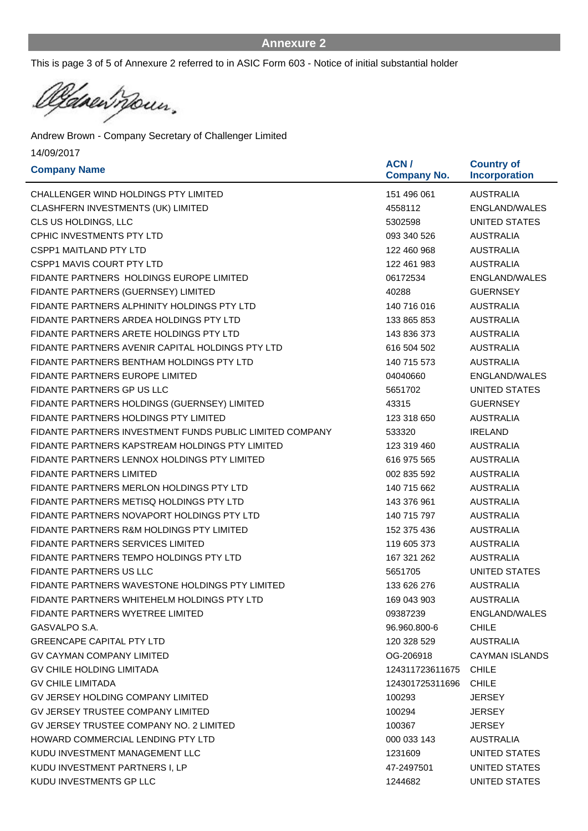This is page 3 of 5 of Annexure 2 referred to in ASIC Form 603 - Notice of initial substantial holder

Canewrown. Ŀ

| <b>Company Name</b>                                      | ACN /<br><b>Company No.</b> | <b>Country of</b><br><b>Incorporation</b> |
|----------------------------------------------------------|-----------------------------|-------------------------------------------|
| CHALLENGER WIND HOLDINGS PTY LIMITED                     | 151 496 061                 | <b>AUSTRALIA</b>                          |
| CLASHFERN INVESTMENTS (UK) LIMITED                       | 4558112                     | ENGLAND/WALES                             |
| CLS US HOLDINGS, LLC                                     | 5302598                     | UNITED STATES                             |
| <b>CPHIC INVESTMENTS PTY LTD</b>                         | 093 340 526                 | <b>AUSTRALIA</b>                          |
| <b>CSPP1 MAITLAND PTY LTD</b>                            | 122 460 968                 | <b>AUSTRALIA</b>                          |
| <b>CSPP1 MAVIS COURT PTY LTD</b>                         | 122 461 983                 | <b>AUSTRALIA</b>                          |
| FIDANTE PARTNERS HOLDINGS EUROPE LIMITED                 | 06172534                    | <b>ENGLAND/WALES</b>                      |
| FIDANTE PARTNERS (GUERNSEY) LIMITED                      | 40288                       | <b>GUERNSEY</b>                           |
| FIDANTE PARTNERS ALPHINITY HOLDINGS PTY LTD              | 140 716 016                 | <b>AUSTRALIA</b>                          |
| FIDANTE PARTNERS ARDEA HOLDINGS PTY LTD                  | 133 865 853                 | <b>AUSTRALIA</b>                          |
| FIDANTE PARTNERS ARETE HOLDINGS PTY LTD                  | 143 836 373                 | <b>AUSTRALIA</b>                          |
| FIDANTE PARTNERS AVENIR CAPITAL HOLDINGS PTY LTD         | 616 504 502                 | <b>AUSTRALIA</b>                          |
| FIDANTE PARTNERS BENTHAM HOLDINGS PTY LTD                | 140 715 573                 | <b>AUSTRALIA</b>                          |
| <b>FIDANTE PARTNERS EUROPE LIMITED</b>                   | 04040660                    | ENGLAND/WALES                             |
| FIDANTE PARTNERS GP US LLC                               | 5651702                     | <b>UNITED STATES</b>                      |
| FIDANTE PARTNERS HOLDINGS (GUERNSEY) LIMITED             | 43315                       | <b>GUERNSEY</b>                           |
| FIDANTE PARTNERS HOLDINGS PTY LIMITED                    | 123 318 650                 | <b>AUSTRALIA</b>                          |
| FIDANTE PARTNERS INVESTMENT FUNDS PUBLIC LIMITED COMPANY | 533320                      | <b>IRELAND</b>                            |
| FIDANTE PARTNERS KAPSTREAM HOLDINGS PTY LIMITED          | 123 319 460                 | <b>AUSTRALIA</b>                          |
| FIDANTE PARTNERS LENNOX HOLDINGS PTY LIMITED             | 616 975 565                 | <b>AUSTRALIA</b>                          |
| <b>FIDANTE PARTNERS LIMITED</b>                          | 002 835 592                 | <b>AUSTRALIA</b>                          |
| FIDANTE PARTNERS MERLON HOLDINGS PTY LTD                 | 140 715 662                 | <b>AUSTRALIA</b>                          |
| FIDANTE PARTNERS METISQ HOLDINGS PTY LTD                 | 143 376 961                 | <b>AUSTRALIA</b>                          |
| FIDANTE PARTNERS NOVAPORT HOLDINGS PTY LTD               | 140 715 797                 | <b>AUSTRALIA</b>                          |
| FIDANTE PARTNERS R&M HOLDINGS PTY LIMITED                | 152 375 436                 | <b>AUSTRALIA</b>                          |
| <b>FIDANTE PARTNERS SERVICES LIMITED</b>                 | 119 605 373                 | <b>AUSTRALIA</b>                          |
| FIDANTE PARTNERS TEMPO HOLDINGS PTY LTD                  | 167 321 262                 | <b>AUSTRALIA</b>                          |
| <b>FIDANTE PARTNERS US LLC</b>                           | 5651705                     | UNITED STATES                             |
| FIDANTE PARTNERS WAVESTONE HOLDINGS PTY LIMITED          | 133 626 276                 | <b>AUSTRALIA</b>                          |
| FIDANTE PARTNERS WHITEHELM HOLDINGS PTY LTD              | 169 043 903                 | <b>AUSTRALIA</b>                          |
| FIDANTE PARTNERS WYETREE LIMITED                         | 09387239                    | ENGLAND/WALES                             |
| GASVALPO S.A.                                            | 96.960.800-6                | <b>CHILE</b>                              |
| <b>GREENCAPE CAPITAL PTY LTD</b>                         | 120 328 529                 | AUSTRALIA                                 |
| <b>GV CAYMAN COMPANY LIMITED</b>                         | OG-206918                   | <b>CAYMAN ISLANDS</b>                     |
| GV CHILE HOLDING LIMITADA                                | 124311723611675 CHILE       |                                           |
| <b>GV CHILE LIMITADA</b>                                 | 124301725311696             | <b>CHILE</b>                              |
| GV JERSEY HOLDING COMPANY LIMITED                        | 100293                      | <b>JERSEY</b>                             |
| <b>GV JERSEY TRUSTEE COMPANY LIMITED</b>                 | 100294                      | <b>JERSEY</b>                             |
| GV JERSEY TRUSTEE COMPANY NO. 2 LIMITED                  | 100367                      | <b>JERSEY</b>                             |
| HOWARD COMMERCIAL LENDING PTY LTD                        | 000 033 143                 | <b>AUSTRALIA</b>                          |
| KUDU INVESTMENT MANAGEMENT LLC                           | 1231609                     | UNITED STATES                             |
| KUDU INVESTMENT PARTNERS I, LP                           | 47-2497501                  | UNITED STATES                             |
| KUDU INVESTMENTS GP LLC                                  | 1244682                     | UNITED STATES                             |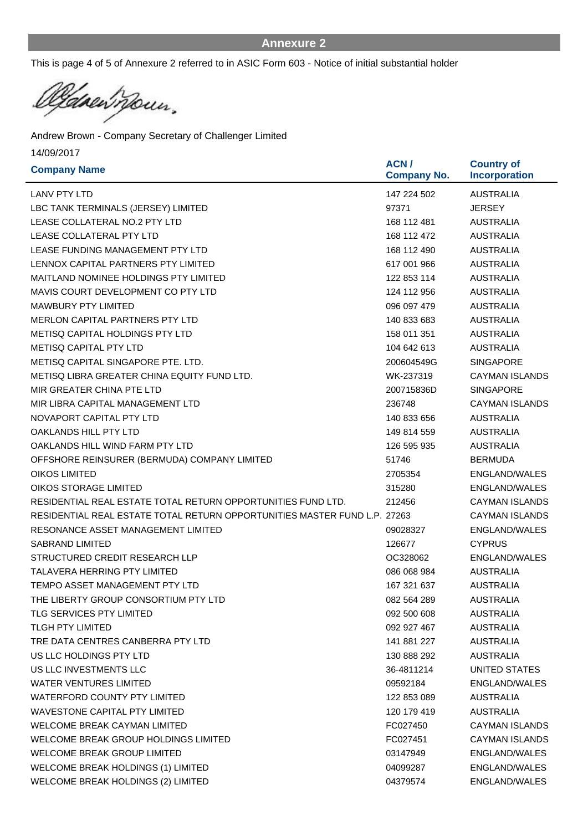This is page 4 of 5 of Annexure 2 referred to in ASIC Form 603 - Notice of initial substantial holder

Casen Moun. Ŀ

| <b>Company Name</b>                                                       | ACN /<br><b>Company No.</b> | <b>Country of</b><br><b>Incorporation</b> |
|---------------------------------------------------------------------------|-----------------------------|-------------------------------------------|
| LANV PTY LTD                                                              | 147 224 502                 | <b>AUSTRALIA</b>                          |
| LBC TANK TERMINALS (JERSEY) LIMITED                                       | 97371                       | <b>JERSEY</b>                             |
| LEASE COLLATERAL NO.2 PTY LTD                                             | 168 112 481                 | <b>AUSTRALIA</b>                          |
| LEASE COLLATERAL PTY LTD                                                  | 168 112 472                 | <b>AUSTRALIA</b>                          |
| LEASE FUNDING MANAGEMENT PTY LTD                                          | 168 112 490                 | <b>AUSTRALIA</b>                          |
| LENNOX CAPITAL PARTNERS PTY LIMITED                                       | 617 001 966                 | <b>AUSTRALIA</b>                          |
| MAITLAND NOMINEE HOLDINGS PTY LIMITED                                     | 122 853 114                 | <b>AUSTRALIA</b>                          |
| MAVIS COURT DEVELOPMENT CO PTY LTD                                        | 124 112 956                 | <b>AUSTRALIA</b>                          |
| <b>MAWBURY PTY LIMITED</b>                                                | 096 097 479                 | <b>AUSTRALIA</b>                          |
| MERLON CAPITAL PARTNERS PTY LTD                                           | 140 833 683                 | <b>AUSTRALIA</b>                          |
| METISQ CAPITAL HOLDINGS PTY LTD                                           | 158 011 351                 | <b>AUSTRALIA</b>                          |
| <b>METISQ CAPITAL PTY LTD</b>                                             | 104 642 613                 | <b>AUSTRALIA</b>                          |
| METISQ CAPITAL SINGAPORE PTE, LTD.                                        | 200604549G                  | <b>SINGAPORE</b>                          |
| METISQ LIBRA GREATER CHINA EQUITY FUND LTD.                               | WK-237319                   | <b>CAYMAN ISLANDS</b>                     |
| MIR GREATER CHINA PTE LTD                                                 | 200715836D                  | <b>SINGAPORE</b>                          |
| MIR LIBRA CAPITAL MANAGEMENT LTD                                          | 236748                      | CAYMAN ISLANDS                            |
| NOVAPORT CAPITAL PTY LTD                                                  | 140 833 656                 | <b>AUSTRALIA</b>                          |
| OAKLANDS HILL PTY LTD                                                     | 149 814 559                 | <b>AUSTRALIA</b>                          |
| OAKLANDS HILL WIND FARM PTY LTD                                           | 126 595 935                 | <b>AUSTRALIA</b>                          |
| OFFSHORE REINSURER (BERMUDA) COMPANY LIMITED                              | 51746                       | <b>BERMUDA</b>                            |
| <b>OIKOS LIMITED</b>                                                      | 2705354                     | <b>ENGLAND/WALES</b>                      |
| <b>OIKOS STORAGE LIMITED</b>                                              | 315280                      | ENGLAND/WALES                             |
| RESIDENTIAL REAL ESTATE TOTAL RETURN OPPORTUNITIES FUND LTD.              | 212456                      | <b>CAYMAN ISLANDS</b>                     |
| RESIDENTIAL REAL ESTATE TOTAL RETURN OPPORTUNITIES MASTER FUND L.P. 27263 |                             | <b>CAYMAN ISLANDS</b>                     |
| RESONANCE ASSET MANAGEMENT LIMITED                                        | 09028327                    | <b>ENGLAND/WALES</b>                      |
| <b>SABRAND LIMITED</b>                                                    | 126677                      | <b>CYPRUS</b>                             |
| STRUCTURED CREDIT RESEARCH LLP                                            | OC328062                    | ENGLAND/WALES                             |
| <b>TALAVERA HERRING PTY LIMITED</b>                                       | 086 068 984                 | <b>AUSTRALIA</b>                          |
| TEMPO ASSET MANAGEMENT PTY LTD                                            | 167 321 637                 | <b>AUSTRALIA</b>                          |
| THE LIBERTY GROUP CONSORTIUM PTY LTD                                      | 082 564 289                 | <b>AUSTRALIA</b>                          |
| <b>TLG SERVICES PTY LIMITED</b>                                           | 092 500 608                 | <b>AUSTRALIA</b>                          |
| <b>TLGH PTY LIMITED</b>                                                   | 092 927 467                 | <b>AUSTRALIA</b>                          |
| TRE DATA CENTRES CANBERRA PTY LTD                                         | 141 881 227                 | <b>AUSTRALIA</b>                          |
| US LLC HOLDINGS PTY LTD                                                   | 130 888 292                 | <b>AUSTRALIA</b>                          |
| US LLC INVESTMENTS LLC                                                    | 36-4811214                  | UNITED STATES                             |
| WATER VENTURES LIMITED                                                    | 09592184                    | ENGLAND/WALES                             |
| <b>WATERFORD COUNTY PTY LIMITED</b>                                       | 122 853 089                 | <b>AUSTRALIA</b>                          |
| WAVESTONE CAPITAL PTY LIMITED                                             | 120 179 419                 | <b>AUSTRALIA</b>                          |
| <b>WELCOME BREAK CAYMAN LIMITED</b>                                       | FC027450                    | CAYMAN ISLANDS                            |
| WELCOME BREAK GROUP HOLDINGS LIMITED                                      | FC027451                    | <b>CAYMAN ISLANDS</b>                     |
| <b>WELCOME BREAK GROUP LIMITED</b>                                        | 03147949                    | ENGLAND/WALES                             |
| WELCOME BREAK HOLDINGS (1) LIMITED                                        | 04099287                    | ENGLAND/WALES                             |
| WELCOME BREAK HOLDINGS (2) LIMITED                                        | 04379574                    | ENGLAND/WALES                             |